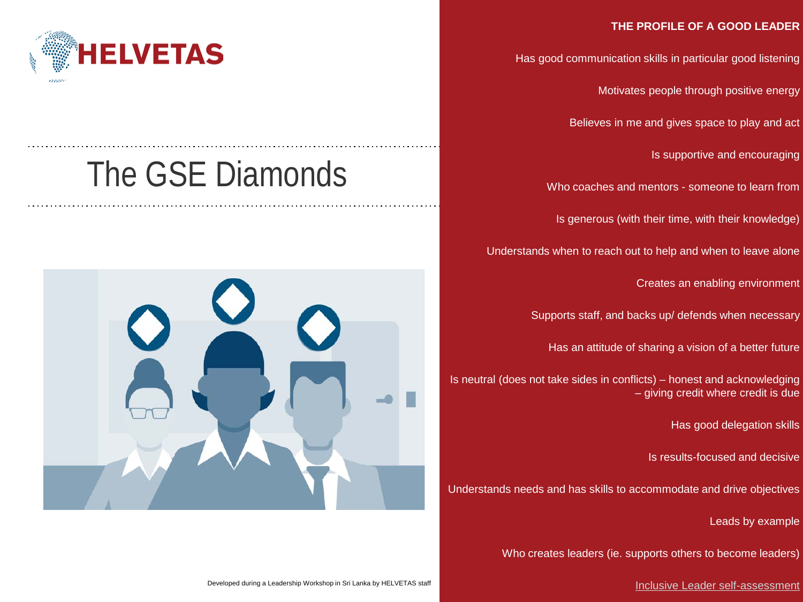## **THE PROFILE OF A GOOD LEADER**

Has good communication skills in particular good listening

Motivates people through positive energy

Believes in me and gives space to play and act

Is supportive and encouraging

Who coaches and mentors - someone to learn from

Is generous (with their time, with their knowledge)

Understands when to reach out to help and when to leave alone

Creates an enabling environment

Supports staff, and backs up/ defends when necessary

Has an attitude of sharing a vision of a better future

Is neutral (does not take sides in conflicts) – honest and acknowledging – giving credit where credit is due

Has good delegation skills

Is results-focused and decisive

Understands needs and has skills to accommodate and drive objectives

Leads by example

Who creates leaders (ie. supports others to become leaders)





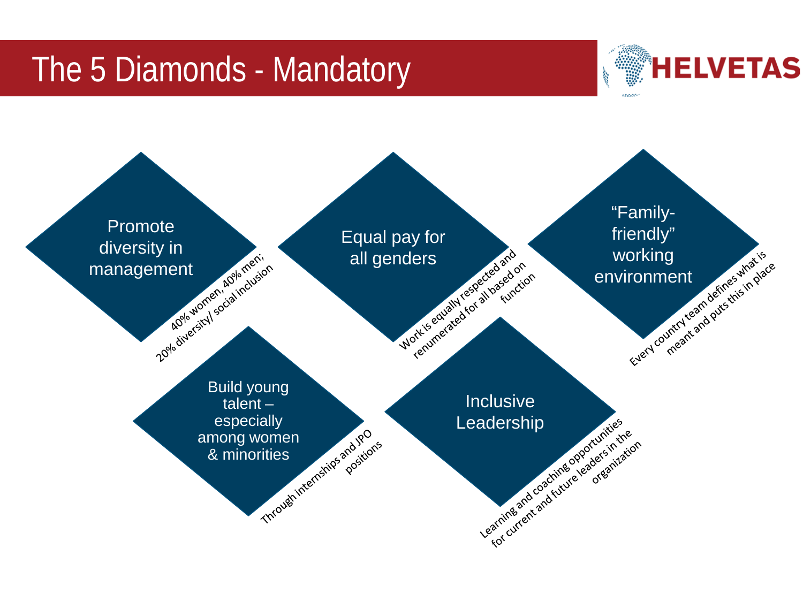## The 5 Diamonds - Mandatory



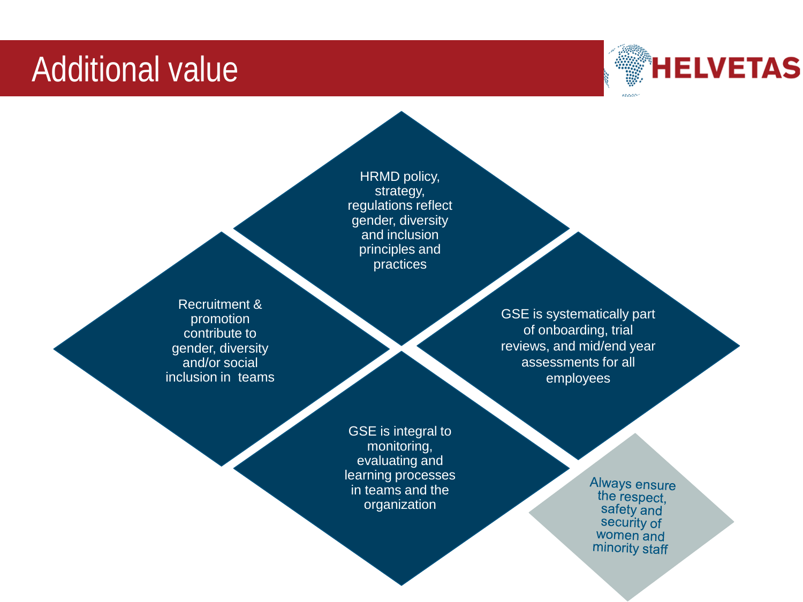## Additional value



HRMD policy, strategy, regulations reflect gender, diversity and inclusion principles and practices

Recruitment & promotion contribute to gender, diversity and/or social inclusion in teams

GSE is systematically part of onboarding, trial reviews, and mid/end year assessments for all employees

GSE is integral to monitoring, evaluating and learning processes in teams and the organization

Always ensure the respect. safety and security of women and minority staff